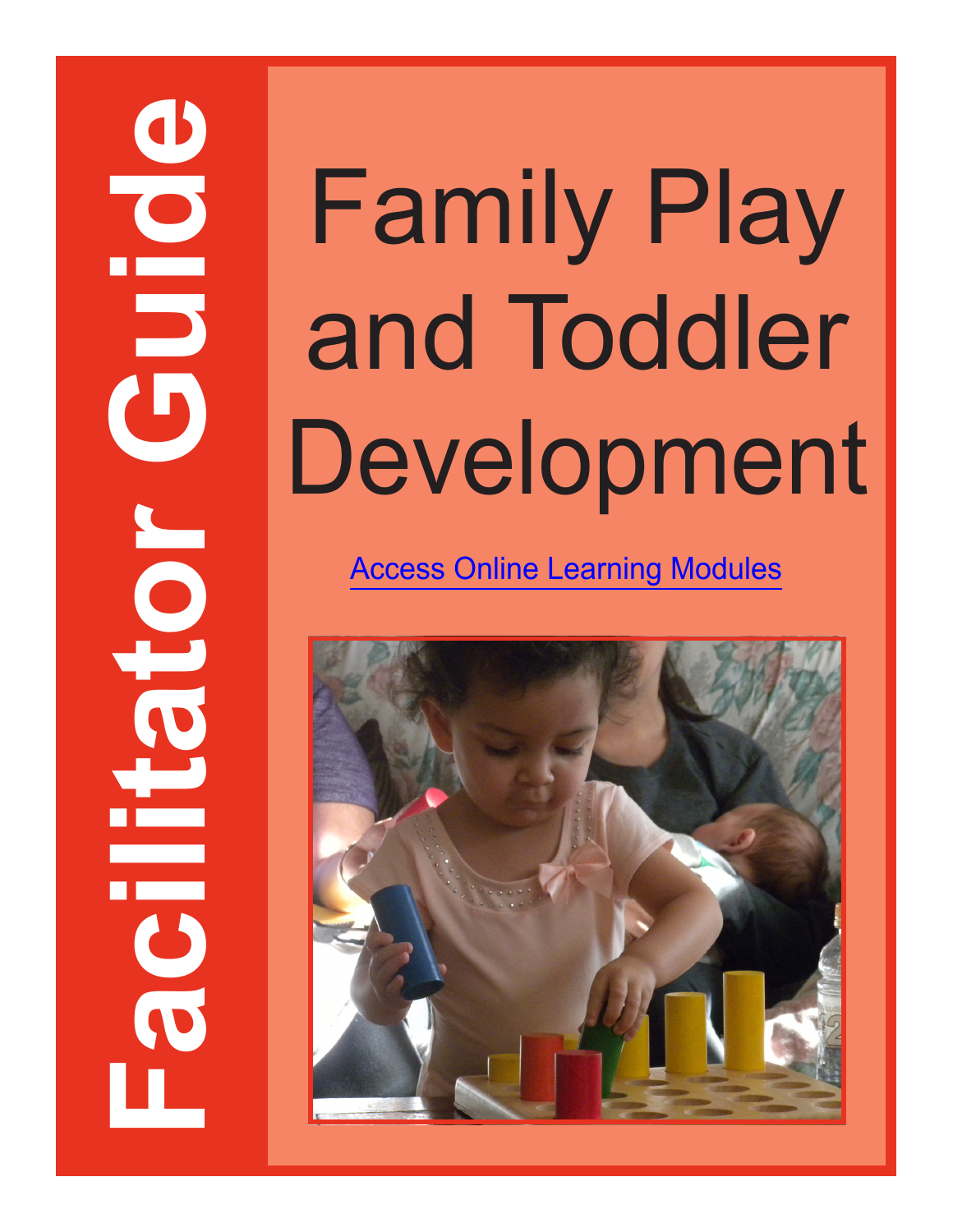# and Toddler Development

[Access Online Learning Modules](https://www.easternct.edu/center-for-early-childhood-education/online-learning-modules.html)

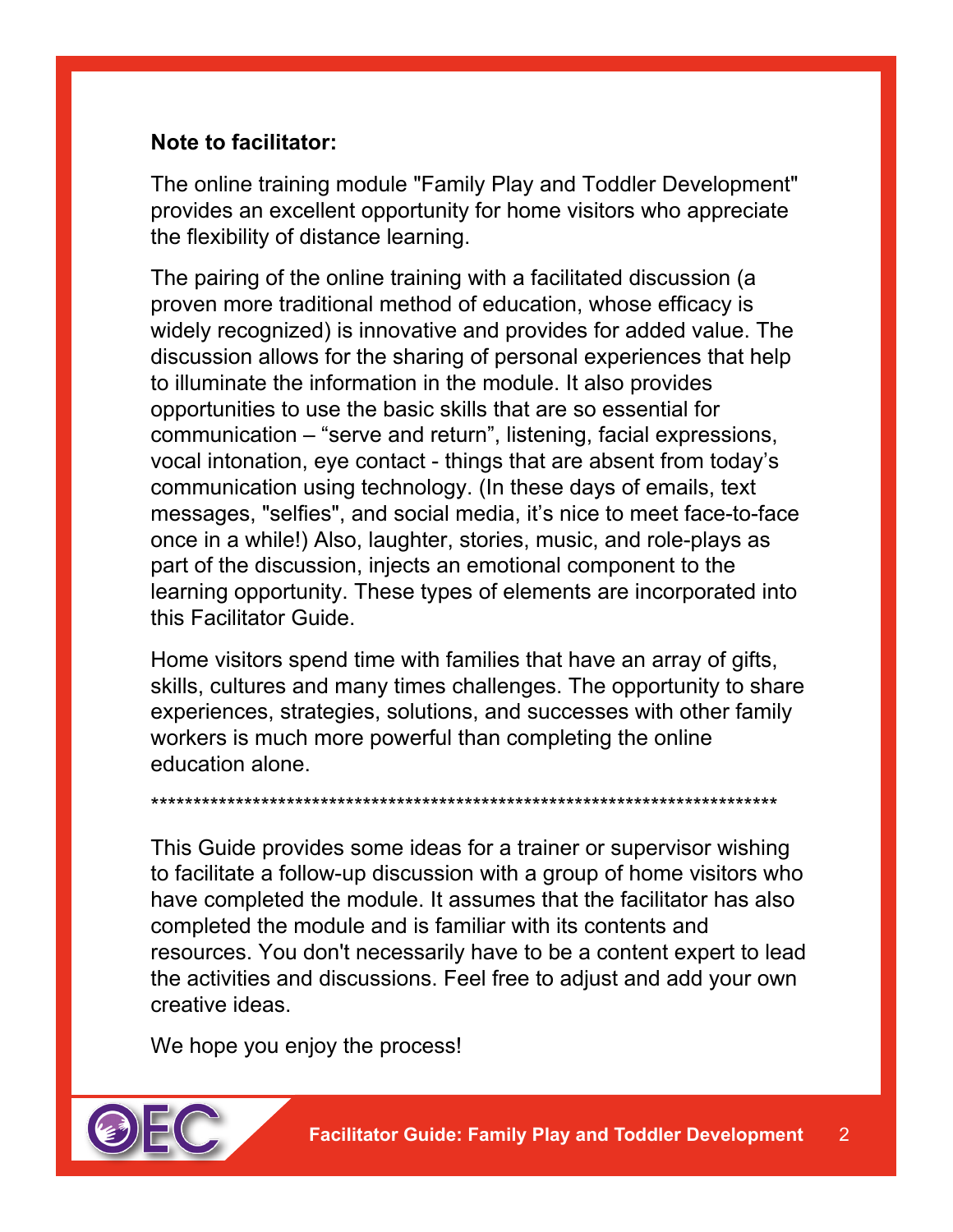### **Note to facilitator:**

The online training module "Family Play and Toddler Development" provides an excellent opportunity for home visitors who appreciate the flexibility of distance learning.

The pairing of the online training with a facilitated discussion (a proven more traditional method of education, whose efficacy is widely recognized) is innovative and provides for added value. The discussion allows for the sharing of personal experiences that help to illuminate the information in the module. It also provides opportunities to use the basic skills that are so essential for communication – "serve and return", listening, facial expressions, vocal intonation, eye contact - things that are absent from today's communication using technology. (In these days of emails, text messages, "selfies", and social media, it's nice to meet face-to-face once in a while!) Also, laughter, stories, music, and role-plays as part of the discussion, injects an emotional component to the learning opportunity. These types of elements are incorporated into this Facilitator Guide.

Home visitors spend time with families that have an array of gifts, skills, cultures and many times challenges. The opportunity to share experiences, strategies, solutions, and successes with other family workers is much more powerful than completing the online education alone.

\*\*\*\*\*\*\*\*\*\*\*\*\*\*\*\*\*\*\*\*\*\*\*\*\*\*\*\*\*\*\*\*\*\*\*\*\*\*\*\*\*\*\*\*\*\*\*\*\*\*\*\*\*\*\*\*\*\*\*\*\*\*\*\*\*\*\*\*\*\*\*\*\*\*

This Guide provides some ideas for a trainer or supervisor wishing to facilitate a follow-up discussion with a group of home visitors who have completed the module. It assumes that the facilitator has also completed the module and is familiar with its contents and resources. You don't necessarily have to be a content expert to lead the activities and discussions. Feel free to adjust and add your own creative ideas.

We hope you enjoy the process!

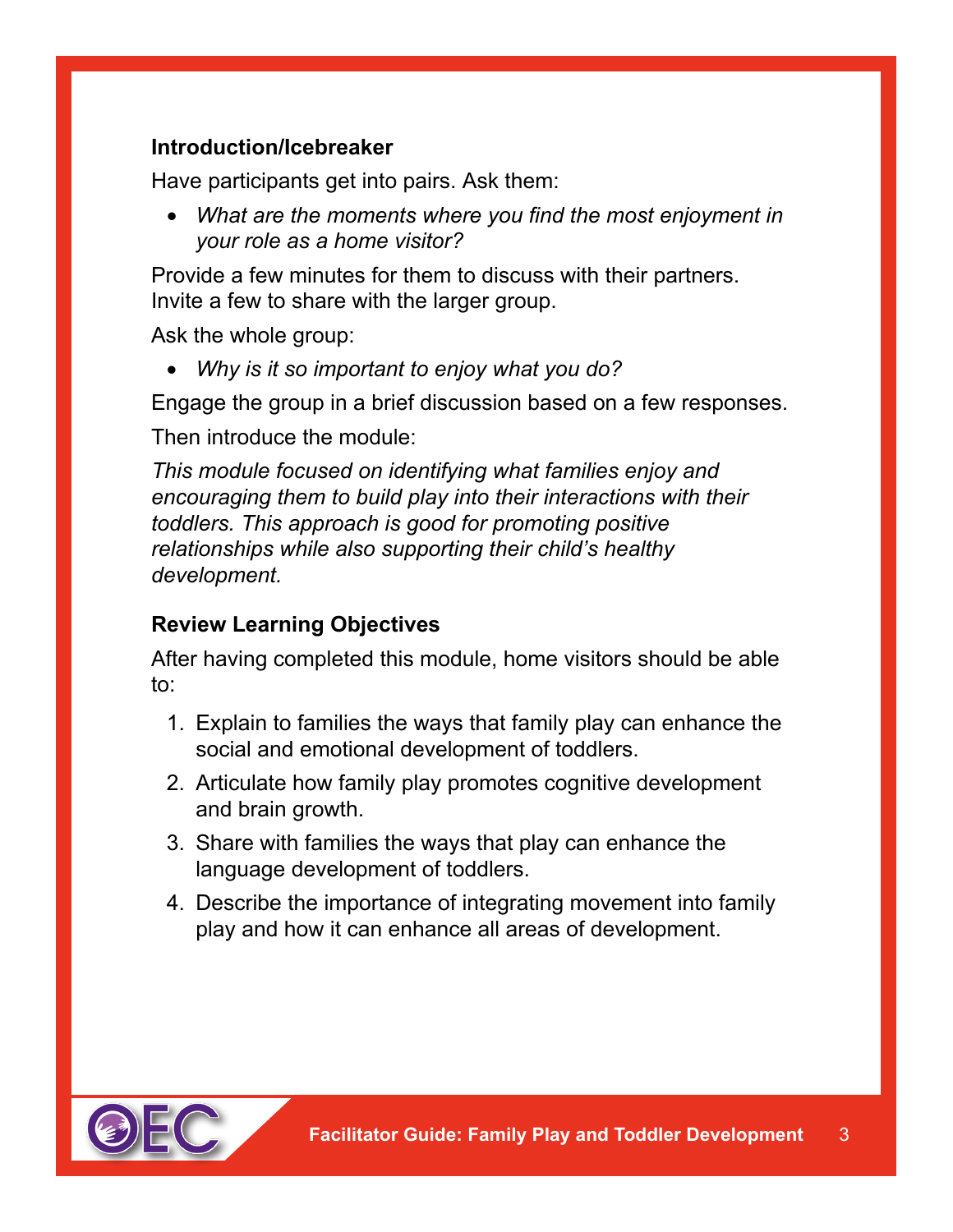# **Introduction/Icebreaker**

Have participants get into pairs. Ask them:

• *What are the moments where you find the most enjoyment in your role as a home visitor?*

Provide a few minutes for them to discuss with their partners. Invite a few to share with the larger group.

Ask the whole group:

• *Why is it so important to enjoy what you do?*

Engage the group in a brief discussion based on a few responses.

Then introduce the module:

*This module focused on identifying what families enjoy and encouraging them to build play into their interactions with their toddlers. This approach is good for promoting positive relationships while also supporting their child's healthy development.*

# **Review Learning Objectives**

After having completed this module, home visitors should be able to:

- 1. Explain to families the ways that family play can enhance the social and emotional development of toddlers.
- 2. Articulate how family play promotes cognitive development and brain growth.
- 3. Share with families the ways that play can enhance the language development of toddlers.
- 4. Describe the importance of integrating movement into family play and how it can enhance all areas of development.

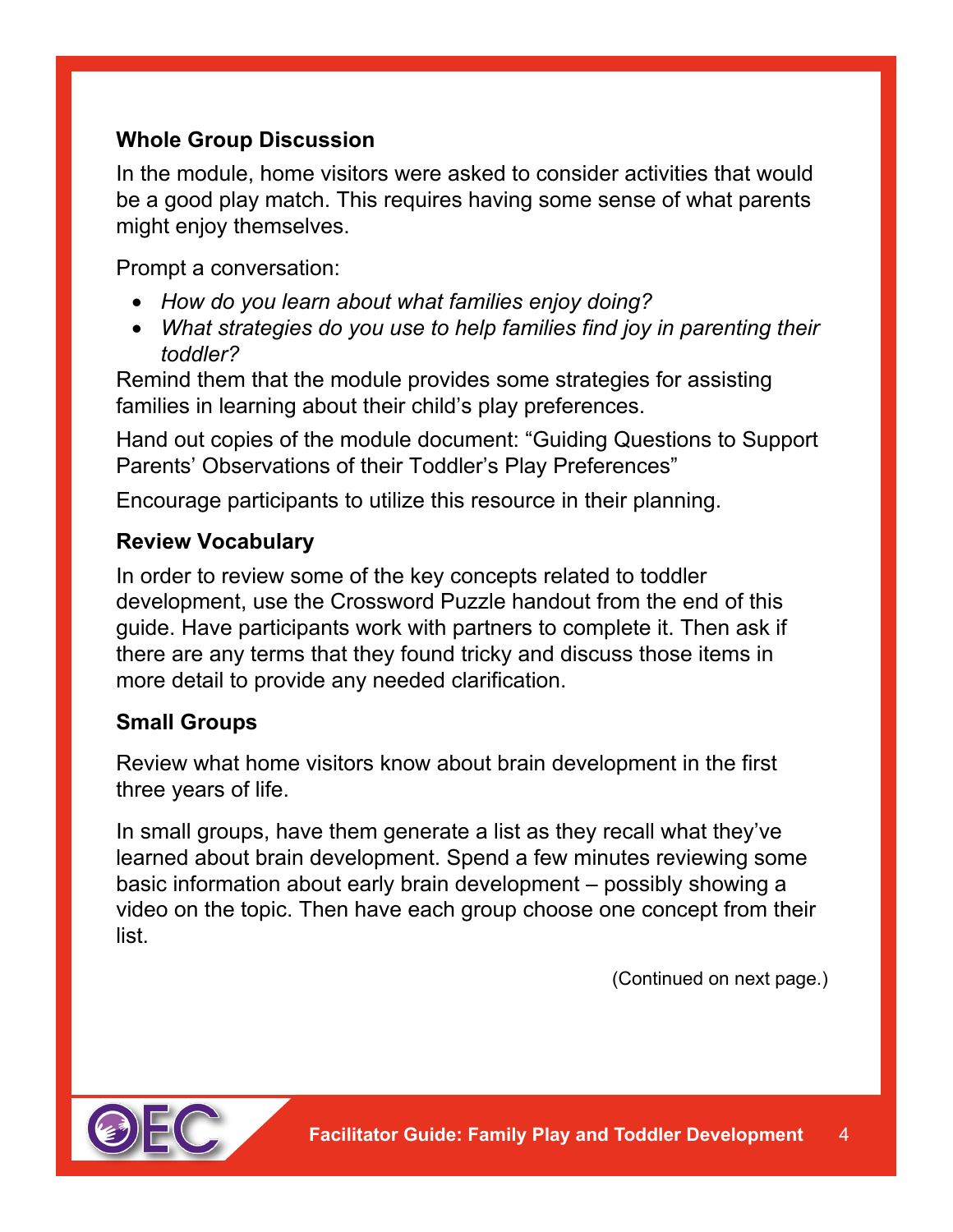# **Whole Group Discussion**

In the module, home visitors were asked to consider activities that would be a good play match. This requires having some sense of what parents might enjoy themselves.

Prompt a conversation:

- *How do you learn about what families enjoy doing?*
- *What strategies do you use to help families find joy in parenting their toddler?*

Remind them that the module provides some strategies for assisting families in learning about their child's play preferences.

Hand out copies of the module document: "Guiding Questions to Support Parents' Observations of their Toddler's Play Preferences"

Encourage participants to utilize this resource in their planning.

#### **Review Vocabulary**

In order to review some of the key concepts related to toddler development, use the Crossword Puzzle handout from the end of this guide. Have participants work with partners to complete it. Then ask if there are any terms that they found tricky and discuss those items in more detail to provide any needed clarification.

#### **Small Groups**

Review what home visitors know about brain development in the first three years of life.

In small groups, have them generate a list as they recall what they've learned about brain development. Spend a few minutes reviewing some basic information about early brain development – possibly showing a video on the topic. Then have each group choose one concept from their list.

(Continued on next page.)

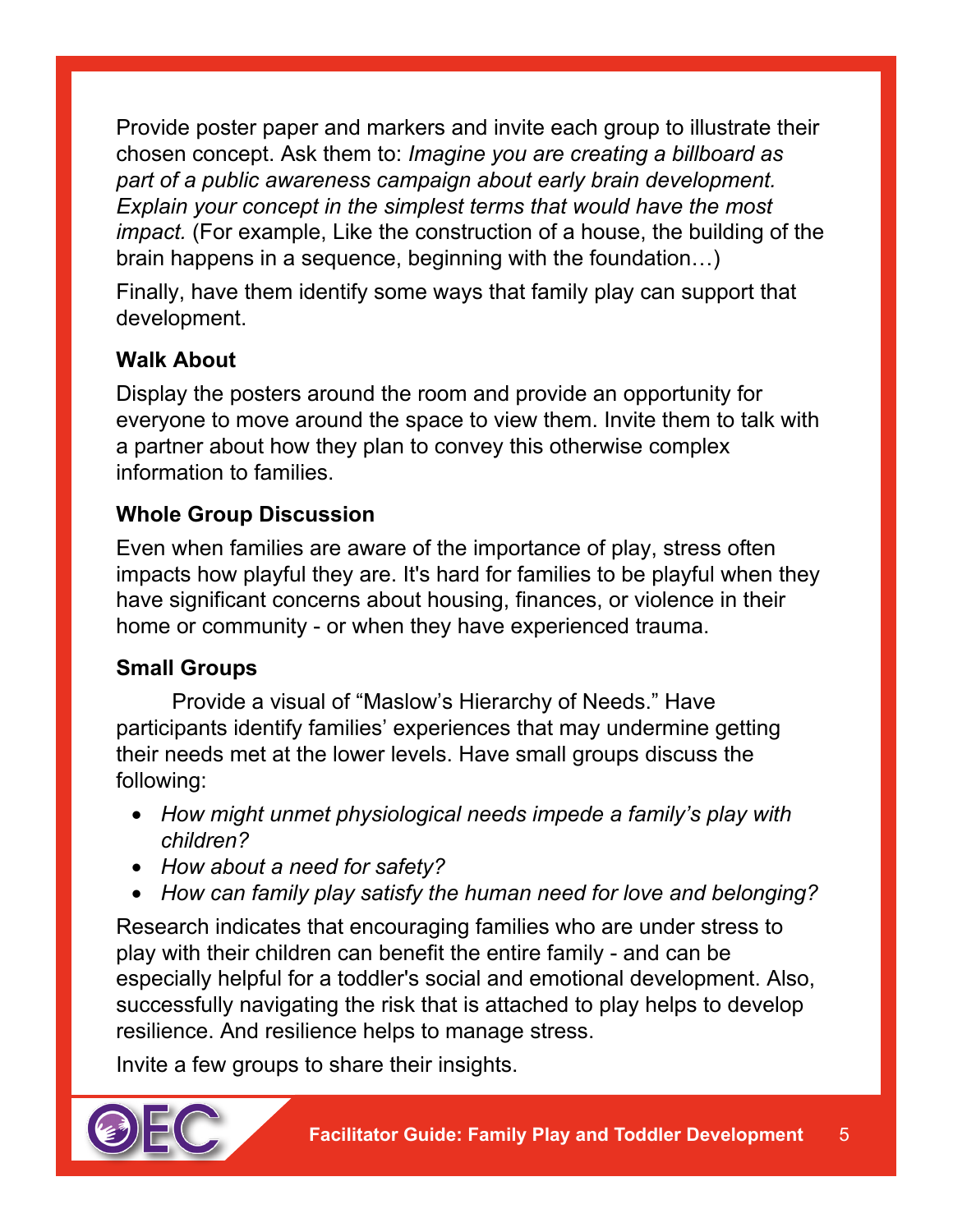Provide poster paper and markers and invite each group to illustrate their chosen concept. Ask them to: *Imagine you are creating a billboard as part of a public awareness campaign about early brain development. Explain your concept in the simplest terms that would have the most impact.* (For example, Like the construction of a house, the building of the brain happens in a sequence, beginning with the foundation…)

Finally, have them identify some ways that family play can support that development.

# **Walk About**

Display the posters around the room and provide an opportunity for everyone to move around the space to view them. Invite them to talk with a partner about how they plan to convey this otherwise complex information to families.

## **Whole Group Discussion**

Even when families are aware of the importance of play, stress often impacts how playful they are. It's hard for families to be playful when they have significant concerns about housing, finances, or violence in their home or community - or when they have experienced trauma.

## **Small Groups**

Provide a visual of "Maslow's Hierarchy of Needs." Have participants identify families' experiences that may undermine getting their needs met at the lower levels. Have small groups discuss the following:

- *How might unmet physiological needs impede a family's play with children?*
- *How about a need for safety?*
- *How can family play satisfy the human need for love and belonging?*

Research indicates that encouraging families who are under stress to play with their children can benefit the entire family - and can be especially helpful for a toddler's social and emotional development. Also, successfully navigating the risk that is attached to play helps to develop resilience. And resilience helps to manage stress.

Invite a few groups to share their insights.

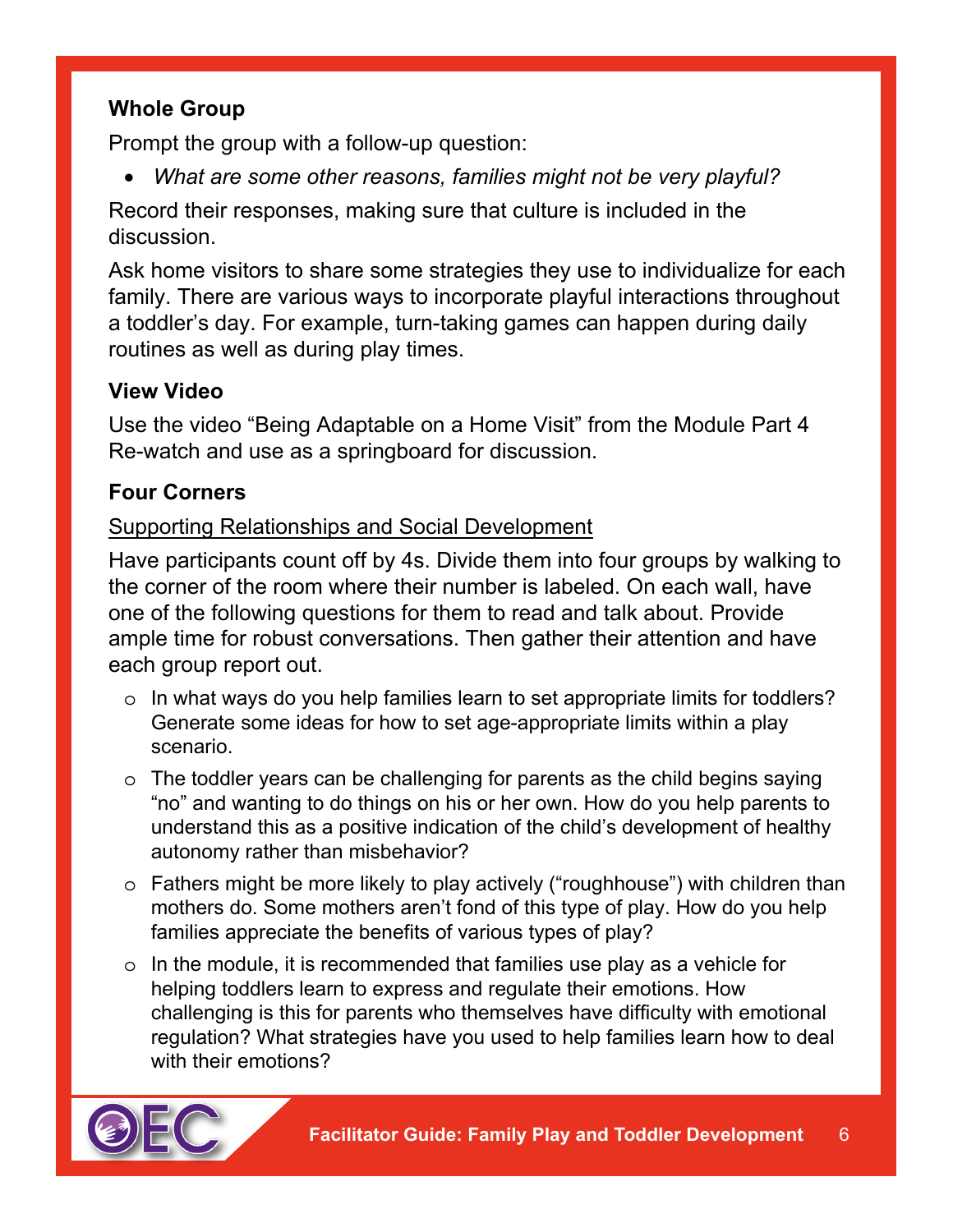# **Whole Group**

Prompt the group with a follow-up question:

• *What are some other reasons, families might not be very playful?*

Record their responses, making sure that culture is included in the discussion.

Ask home visitors to share some strategies they use to individualize for each family. There are various ways to incorporate playful interactions throughout a toddler's day. For example, turn-taking games can happen during daily routines as well as during play times.

# **View Video**

Use the video "Being Adaptable on a Home Visit" from the Module Part 4 Re-watch and use as a springboard for discussion.

# **Four Corners**

## Supporting Relationships and Social Development

Have participants count off by 4s. Divide them into four groups by walking to the corner of the room where their number is labeled. On each wall, have one of the following questions for them to read and talk about. Provide ample time for robust conversations. Then gather their attention and have each group report out.

- o In what ways do you help families learn to set appropriate limits for toddlers? Generate some ideas for how to set age-appropriate limits within a play scenario.
- o The toddler years can be challenging for parents as the child begins saying "no" and wanting to do things on his or her own. How do you help parents to understand this as a positive indication of the child's development of healthy autonomy rather than misbehavior?
- o Fathers might be more likely to play actively ("roughhouse") with children than mothers do. Some mothers aren't fond of this type of play. How do you help families appreciate the benefits of various types of play?
- o In the module, it is recommended that families use play as a vehicle for helping toddlers learn to express and regulate their emotions. How challenging is this for parents who themselves have difficulty with emotional regulation? What strategies have you used to help families learn how to deal with their emotions?

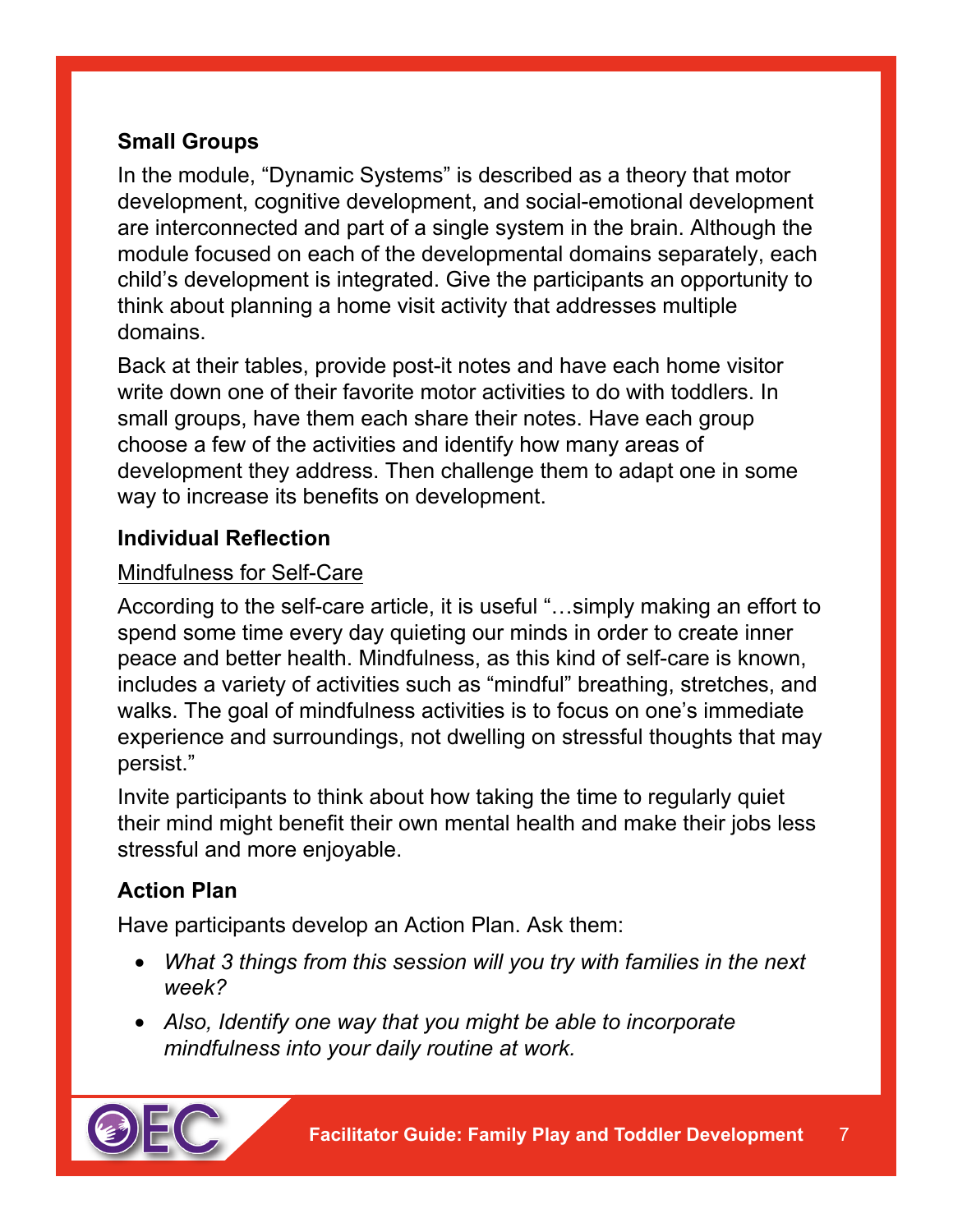# **Small Groups**

In the module, "Dynamic Systems" is described as a theory that motor development, cognitive development, and social-emotional development are interconnected and part of a single system in the brain. Although the module focused on each of the developmental domains separately, each child's development is integrated. Give the participants an opportunity to think about planning a home visit activity that addresses multiple domains.

Back at their tables, provide post-it notes and have each home visitor write down one of their favorite motor activities to do with toddlers. In small groups, have them each share their notes. Have each group choose a few of the activities and identify how many areas of development they address. Then challenge them to adapt one in some way to increase its benefits on development.

## **Individual Reflection**

## Mindfulness for Self-Care

According to the self-care article, it is useful "…simply making an effort to spend some time every day quieting our minds in order to create inner peace and better health. Mindfulness, as this kind of self-care is known, includes a variety of activities such as "mindful" breathing, stretches, and walks. The goal of mindfulness activities is to focus on one's immediate experience and surroundings, not dwelling on stressful thoughts that may persist."

Invite participants to think about how taking the time to regularly quiet their mind might benefit their own mental health and make their jobs less stressful and more enjoyable.

# **Action Plan**

Have participants develop an Action Plan. Ask them:

- *What 3 things from this session will you try with families in the next week?*
- *Also, Identify one way that you might be able to incorporate mindfulness into your daily routine at work.*

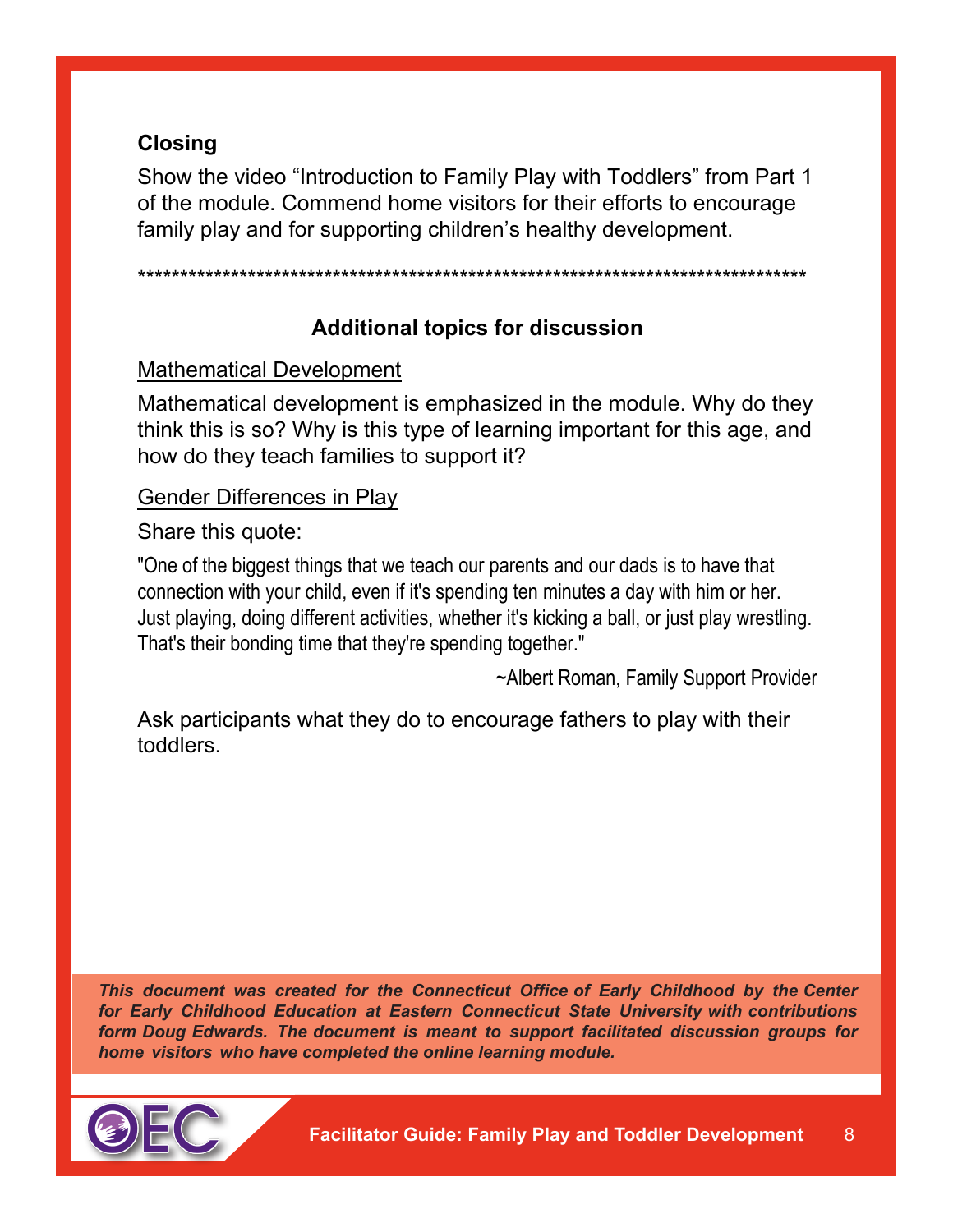# **Closing**

Show the video "Introduction to Family Play with Toddlers" from Part 1 of the module. Commend home visitors for their efforts to encourage family play and for supporting children's healthy development.

\*\*\*\*\*\*\*\*\*\*\*\*\*\*\*\*\*\*\*\*\*\*\*\*\*\*\*\*\*\*\*\*\*\*\*\*\*\*\*\*\*\*\*\*\*\*\*\*\*\*\*\*\*\*\*\*\*\*\*\*\*\*\*\*\*\*\*\*\*\*\*\*\*\*\*\*\*\*\*

## **Additional topics for discussion**

Mathematical Development

Mathematical development is emphasized in the module. Why do they think this is so? Why is this type of learning important for this age, and how do they teach families to support it?

#### Gender Differences in Play

Share this quote:

"One of the biggest things that we teach our parents and our dads is to have that connection with your child, even if it's spending ten minutes a day with him or her. Just playing, doing different activities, whether it's kicking a ball, or just play wrestling. That's their bonding time that they're spending together."

~Albert Roman, Family Support Provider

Ask participants what they do to encourage fathers to play with their toddlers.

*This document was created for the Connecticut Office of Early Childhood by the Center for Early Childhood Education at Eastern Connecticut State University with contributions form Doug Edwards. The document is meant to support facilitated discussion groups for home visitors who have completed the online learning module.*

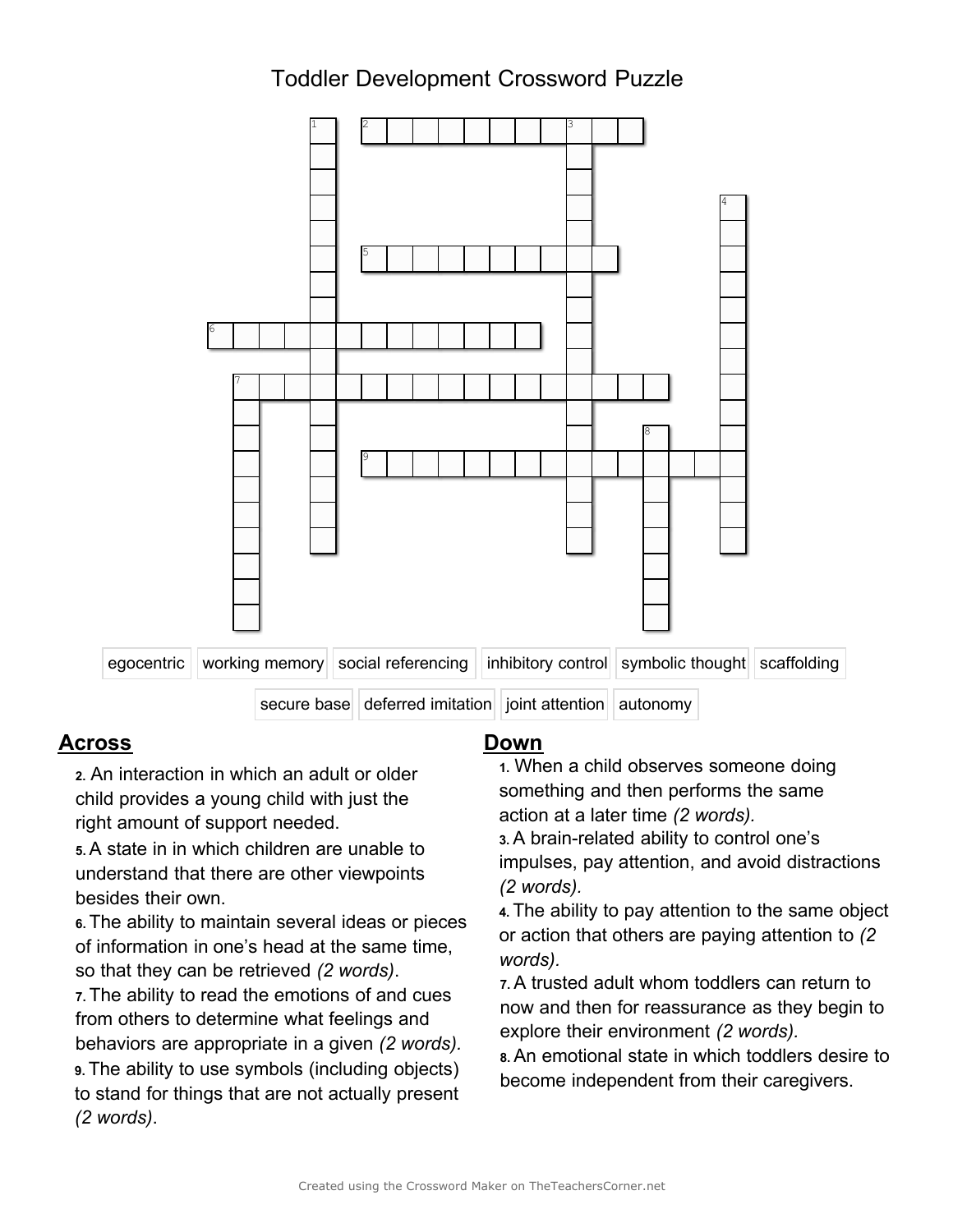# Toddler Development Crossword Puzzle



#### **Across Down**

child provides a young child with just the sometimity and their performs to<br>solid action at a later time (2 words). right amount of support needed.

If you cake in the three are other viewpoints understand that there are other viewpoints besides their own.<br>
Expectively respected to a second ideas or prince of the ability to pay attention to the same object

**9.** The ability to use symbols (including objects) become independent from their caregivers. to stand for things that are not actually present *(2 words)*.

**2.** An interaction in which an adult or older **1.** When a child observes someone doing <br>
something and then performs the same

A brain-related ability to control one's **5.** A state in in which children are unable to **3.**

**Excession** the same object **6.** The ability to pay attention to the same object<br>
of information in one's head at the same time,<br>
so that they can be retrieved (2 *words*).<br>
7. A trusted adult whom toddlers can return to<br>

F. The ability to read the emotions of and cues<br>
from others to determine what feelings and<br>
behaviors are appropriate in a given  $(2 words)$ <br>
9. The ability to use symbols (including objects)<br>
behaviors are appropriate in a g